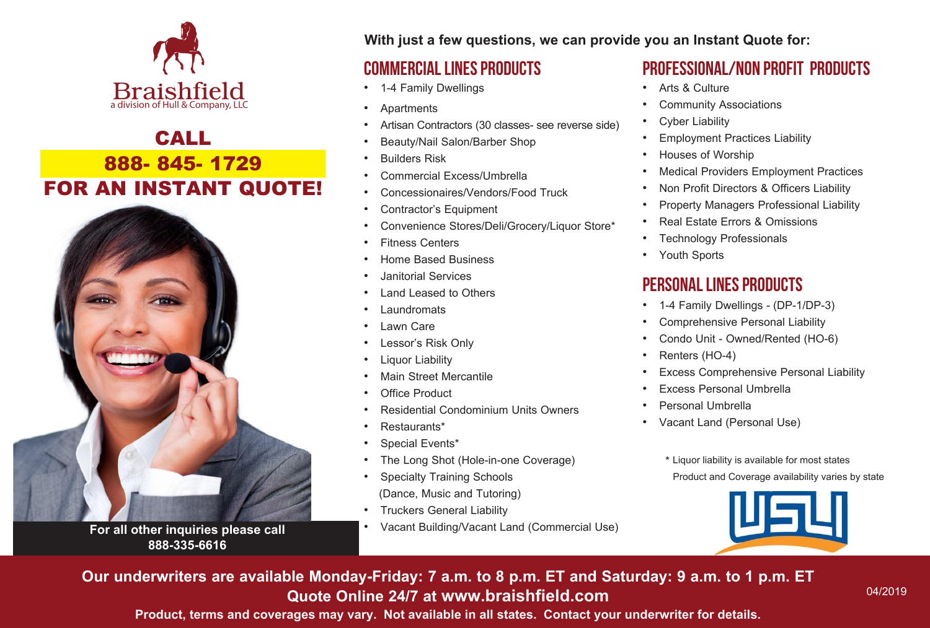

## CALL 888- 845- 1729 FOR AN INSTANT QUOTE!



**For all other inquiries please call 888-335-6616**

**With just a few questions, we can provide you an Instant Quote for:**

#### Commercial Lines ProductS

- 1-4 Family Dwellings
- Apartments
- Artisan Contractors (30 classes- see reverse side)
- Beauty/Nail Salon/Barber Shop
- Builders Risk
- Commercial Excess/Umbrella
- Concessionaires/Vendors/Food Truck
- Contractor's Equipment
- Convenience Stores/Deli/Grocery/Liquor Store\*
- Fitness Centers
- Home Based Business
- Janitorial Services
- Land Leased to Others
- **Laundromats**
- Lawn Care
- Lessor's Risk Only
- **Liquor Liability**
- **Main Street Mercantile**
- Office Product
- Residential Condominium Units Owners
- Restaurants\*
- Special Events\*
- The Long Shot (Hole-in-one Coverage)
- Specialty Training Schools (Dance, Music and Tutoring)
- Truckers General Liability
- Vacant Building/Vacant Land (Commercial Use)

### PROFESSIONAL/Non Profit PRODUCTS

- Arts & Culture
- Community Associations
- **Cyber Liability**
- Employment Practices Liability
- Houses of Worship
- Medical Providers Employment Practices
- Non Profit Directors & Officers Liability
- Property Managers Professional Liability
- Real Estate Errors & Omissions
- Technology Professionals
- Youth Sports

## Personal Lines Products

- 1-4 Family Dwellings (DP-1/DP-3)
- Comprehensive Personal Liability
- Condo Unit Owned/Rented (HO-6)
- Renters (HO-4)
- Excess Comprehensive Personal Liability
- Excess Personal Umbrella
- Personal Umbrella
- Vacant Land (Personal Use)
	- \* Liquor liability is available for most states Product and Coverage availability varies by state



**Our underwriters are available Monday-Friday: 7 a.m. to 8 p.m. ET and Saturday: 9 a.m. to 1 p.m. ET Quote Online 24/7 at www.braishfield.com**

**Product, terms and coverages may vary. Not available in all states. Contact your underwriter for details.**